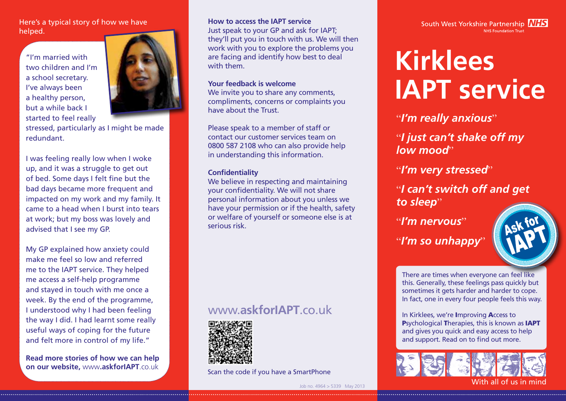#### Here's a typical story of how we have helped.

"I'm married with two children and I'm a school secretary. I've always been a healthy person, but a while back I started to feel really



stressed, particularly as I might be made redundant.

I was feeling really low when I woke up, and it was a struggle to get out of bed. Some days I felt fine but the bad days became more frequent and impacted on my work and my family. It came to a head when I burst into tears at work; but my boss was lovely and advised that I see my GP.

My GP explained how anxiety could make me feel so low and referred me to the IAPT service. They helped me access a self-help programme and stayed in touch with me once a week. By the end of the programme, I understood why I had been feeling the way I did. I had learnt some really useful ways of coping for the future and felt more in control of my life."

**Read more stories of how we can help on our website,** www**.askforIAPT**.co.uk

#### **How to access the IAPT service**

Just speak to your GP and ask for IAPT; they'll put you in touch with us. We will then work with you to explore the problems you are facing and identify how best to deal with them.

#### **Your feedback is welcome**

We invite you to share any comments, compliments, concerns or complaints you have about the Trust.

Please speak to a member of staff or contact our customer services team on 0800 587 2108 who can also provide help in understanding this information.

#### **Confidentiality**

We believe in respecting and maintaining your confidentiality. We will not share personal information about you unless we have your permission or if the health, safety or welfare of yourself or someone else is at serious risk.

## www.**askforIAPT**.co.uk



Scan the code if you have a SmartPhone



# **Kirklees IAPT service**

"*I'm really anxious*"

"*I just can't shake off my low mood*"

"*I'm very stressed*"

"*I can't switch off and get*  to sleep"

"*I'm nervous*" "*I'm so unhappy*"



There are times when everyone can feel like this. Generally, these feelings pass quickly but sometimes it gets harder and harder to cope. In fact, one in every four people feels this way.

In Kirklees, we're Improving Access to Psychological Therapies, this is known as IAPT and gives you quick and easy access to help and support. Read on to find out more.